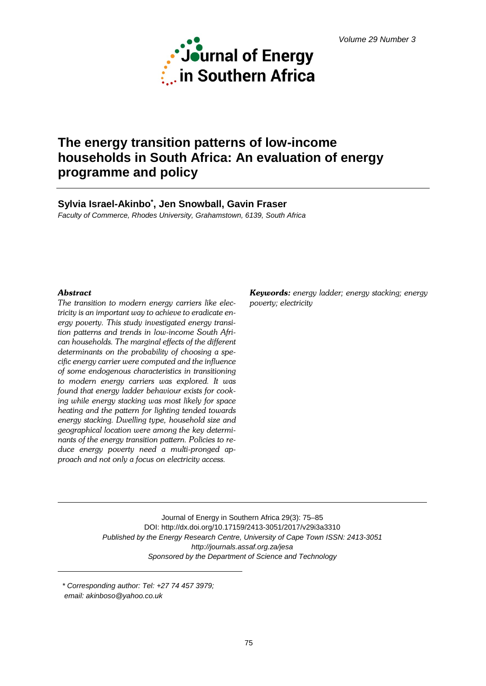

# **The energy transition patterns of low-income households in South Africa: An evaluation of energy programme and policy**

# **Sylvia Israel-Akinbo\* , Jen Snowball, Gavin Fraser**

*Faculty of Commerce, Rhodes University, Grahamstown, 6139, South Africa*

### *Abstract*

*The transition to modern energy carriers like electricity is an important way to achieve to eradicate energy poverty. This study investigated energy transition patterns and trends in low-income South African households. The marginal effects of the different determinants on the probability of choosing a specific energy carrier were computed and the influence of some endogenous characteristics in transitioning to modern energy carriers was explored. It was found that energy ladder behaviour exists for cooking while energy stacking was most likely for space heating and the pattern for lighting tended towards energy stacking. Dwelling type, household size and geographical location were among the key determinants of the energy transition pattern. Policies to reduce energy poverty need a multi-pronged approach and not only a focus on electricity access.*

*Keywords: energy ladder; energy stacking; energy poverty; electricity*

Journal of Energy in Southern Africa 29(3): 75–85 DOI: http://dx.doi.org/10.17159/2413-3051/2017/v29i3a3310 *Published by the Energy Research Centre, University of Cape Town ISSN: 2413-3051 http://journals.assaf.org.za/jesa Sponsored by the Department of Science and Technology*

*\* Corresponding author: Tel: +27 74 457 3979; email: akinboso@yahoo.co.uk*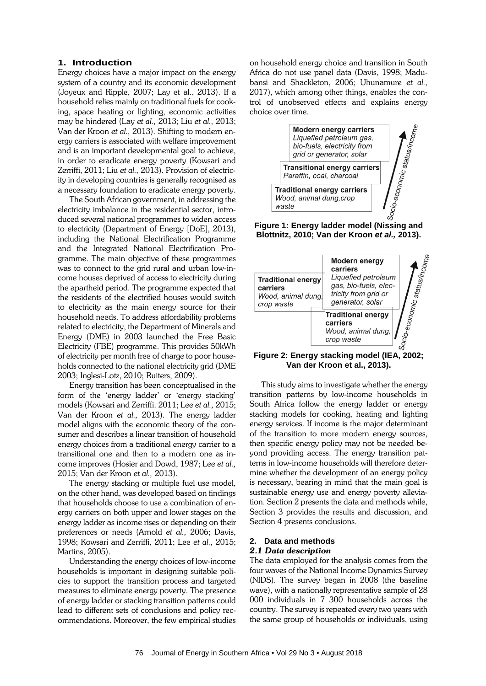#### **1. Introduction**

Energy choices have a major impact on the energy system of a country and its economic development (Joyeux and Ripple, 2007; Lay et al., 2013). If a household relies mainly on traditional fuels for cooking, space heating or lighting, economic activities may be hindered (Lay *et al.,* 2013; Liu *et al.,* 2013; Van der Kroon *et al.,* 2013). Shifting to modern energy carriers is associated with welfare improvement and is an important developmental goal to achieve, in order to eradicate energy poverty (Kowsari and Zerriffi, 2011; Liu *et al.,* 2013). Provision of electricity in developing countries is generally recognised as a necessary foundation to eradicate energy poverty.

The South African government, in addressing the electricity imbalance in the residential sector, introduced several national programmes to widen access to electricity (Department of Energy [DoE], 2013), including the National Electrification Programme and the Integrated National Electrification Programme. The main objective of these programmes was to connect to the grid rural and urban low-income houses deprived of access to electricity during the apartheid period. The programme expected that the residents of the electrified houses would switch to electricity as the main energy source for their household needs. To address affordability problems related to electricity, the Department of Minerals and Energy (DME) in 2003 launched the Free Basic Electricity (FBE) programme. This provides 50kWh of electricity per month free of charge to poor households connected to the national electricity grid (DME 2003; Inglesi-Lotz, 2010; Ruiters, 2009).

Energy transition has been conceptualised in the form of the 'energy ladder' or 'energy stacking' models (Kowsari and Zerriffi. 2011; Lee *et al.,* 2015; Van der Kroon *et al.,* 2013). The energy ladder model aligns with the economic theory of the consumer and describes a linear transition of household energy choices from a traditional energy carrier to a transitional one and then to a modern one as income improves (Hosier and Dowd, 1987; Lee *et al.,* 2015; Van der Kroon *et al.,* 2013).

The energy stacking or multiple fuel use model, on the other hand, was developed based on findings that households choose to use a combination of energy carriers on both upper and lower stages on the energy ladder as income rises or depending on their preferences or needs (Arnold *et al.,* 2006; Davis, 1998; Kowsari and Zerriffi, 2011; Lee *et al.,* 2015; Martins, 2005).

Understanding the energy choices of low-income households is important in designing suitable policies to support the transition process and targeted measures to eliminate energy poverty. The presence of energy ladder or stacking transition patterns could lead to different sets of conclusions and policy recommendations. Moreover, the few empirical studies on household energy choice and transition in South Africa do not use panel data (Davis, 1998; Madubansi and Shackleton, 2006; Uhunamure *et al.,* 2017), which among other things, enables the control of unobserved effects and explains energy choice over time.



**Blottnitz, 2010; Van der Kroon** *et al.,* **2013).**



**Van der Kroon et al., 2013).**

This study aims to investigate whether the energy transition patterns by low-income households in South Africa follow the energy ladder or energy stacking models for cooking, heating and lighting energy services. If income is the major determinant of the transition to more modern energy sources, then specific energy policy may not be needed beyond providing access. The energy transition patterns in low-income households will therefore determine whether the development of an energy policy is necessary, bearing in mind that the main goal is sustainable energy use and energy poverty alleviation. Section 2 presents the data and methods while, Section 3 provides the results and discussion, and Section 4 presents conclusions.

#### **2. Data and methods** *2.1 Data description*

The data employed for the analysis comes from the four waves of the National Income Dynamics Survey (NIDS). The survey began in 2008 (the baseline wave), with a nationally representative sample of 28 000 individuals in 7 300 households across the country. The survey is repeated every two years with the same group of households or individuals, using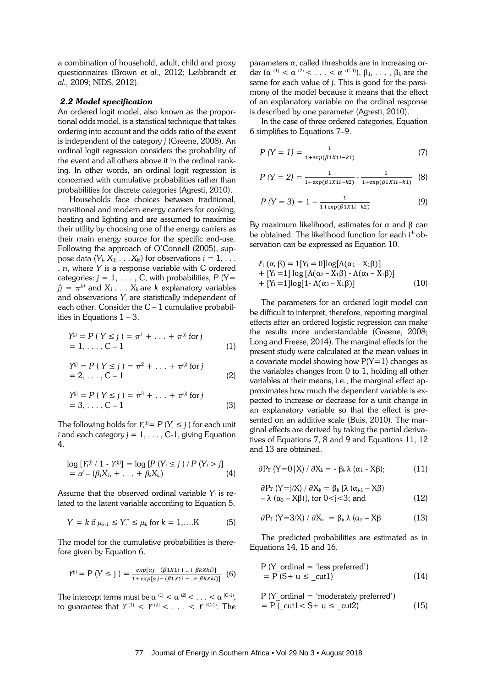a combination of household, adult, child and proxy questionnaires (Brown *et al.,* 2012; Leibbrandt *et al.,* 2009; NIDS, 2012).

#### *2.2 Model specification*

An ordered logit model, also known as the proportional odds model, is a statistical technique that takes ordering into account and the odds ratio of the event is independent of the category *j* (Greene, 2008). An ordinal logit regression considers the probability of the event and all others above it in the ordinal ranking. In other words, an ordinal logit regression is concerned with cumulative probabilities rather than probabilities for discrete categories (Agresti, 2010).

Households face choices between traditional, transitional and modern energy carriers for cooking, heating and lighting and are assumed to maximise their utility by choosing one of the energy carriers as their main energy source for the specific end-use. Following the approach of O'Connell (2005), suppose data  $(Y_i, X_{1i} \ldots X_{ki})$  for observations  $i = 1, \ldots$ , *n*, where *Y* is a response variable with C ordered categories:  $j = 1, \ldots, C$ , with probabilities,  $P(Y=$  $j$ ) =  $\pi^{(j)}$  and  $X_1 \ldots X_k$  are *k* explanatory variables and observations *Yi* are statistically independent of each other. Consider the  $C - 1$  cumulative probabilities in Equations  $1 - 3$ .

$$
Y^{(j)} = P (Y \le j) = \pi^1 + \ldots + \pi^{(j)} \text{ for } j
$$
  
= 1, ..., C - 1 (1)

$$
Y^{(j)} = P(Y \le j) = \pi^2 + \dots + \pi^{(j)} \text{ for } j
$$
  
= 2, ..., C - 1 (2)

$$
Y^{(j)} = P(Y \le j) = \pi^3 + \dots + \pi^{(j)} \text{ for } j
$$
  
= 3, ..., C - 1 (3)

The following holds for  $Y_i^{(j)} = P(Y_i \leq j)$  for each unit *i* and each category  $j = 1, \ldots, C-1$ , giving Equation 4.

$$
\log [Y_1^{(i)} / 1 - Y_1^{(i)}] = \log [P (Y_i \le j) / P (Y_i > j)]
$$
  
=  $\alpha^j - (\beta_1 X_{1i} + ... + \beta_k X_{ki})$  (4)

Assume that the observed ordinal variable *Yi* is related to the latent variable according to Equation 5.

$$
Y_i = k \text{ if } \mu_{k-1} \leq Y_i^* \leq \mu_k \text{ for } k = 1, \dots K \tag{5}
$$

The model for the cumulative probabilities is therefore given by Equation 6.

$$
Y^{(j)} = P(Y \le j) = \frac{exp[\alpha j - (\beta 1X1i + ... + \beta kXki)]}{1 + exp[\alpha j - (\beta 1X1i + ... + \beta kXki)]}
$$
(6)

The intercept terms must be  $\alpha^{(1)} < \alpha^{(2)} < \ldots < \alpha^{(C-1)}$ , to guarantee that  $Y^{(1)} \leq Y^{(2)} \leq \ldots \leq Y^{(C-1)}$ . The parameters α, called thresholds are in increasing order  $(\alpha^{(1)} < \alpha^{(2)} < \ldots < \alpha^{(C-1)}), \beta_1, \ldots, \beta_k$  are the same for each value of *j*. This is good for the parsimony of the model because it means that the effect of an explanatory variable on the ordinal response is described by one parameter (Agresti, 2010).

In the case of three ordered categories, Equation 6 simplifies to Equations 7–9.

$$
P(Y = 1) = \frac{1}{1 + exp(\beta 1X1i - k1)}
$$
\n(7)

$$
P(Y = 2) = \frac{1}{1 + \exp(\beta 1X1i - kz)} - \frac{1}{1 + \exp(\beta 1X1i - kt)} \tag{8}
$$

$$
P(Y = 3) = 1 - \frac{1}{1 + \exp(\beta 1 X 1 i - k 2)}
$$
(9)

By maximum likelihood, estimates for  $\alpha$  and  $\beta$  can be obtained. The likelihood function for each i<sup>th</sup> observation can be expressed as Equation 10.

$$
\ell_{i} (\alpha, \beta) = 1[Y_{i} = 0] \log[\Lambda(\alpha_{1} - X_{1}\beta)] + [Y_{i} = 1] \log [\Lambda(\alpha_{2} - X_{1}\beta) - \Lambda(\alpha_{1} - X_{1}\beta)] + [Y_{i} = 1] \log[1 - \Lambda(\alpha_{3} - X_{1}\beta)]
$$
(10)

The parameters for an ordered logit model can be difficult to interpret, therefore, reporting marginal effects after an ordered logistic regression can make the results more understandable (Greene, 2008; Long and Freese, 2014). The marginal effects for the present study were calculated at the mean values in a covariate model showing how  $P(Y=1)$  changes as the variables changes from 0 to 1, holding all other variables at their means, i.e., the marginal effect approximates how much the dependent variable is expected to increase or decrease for a unit change in an explanatory variable so that the effect is presented on an additive scale (Buis, 2010). The marginal effects are derived by taking the partial derivatives of Equations 7, 8 and 9 and Equations 11, 12 and 13 are obtained.

$$
\partial Pr (Y=0|X) / \partial X_k = -\beta_k \lambda (\alpha_1 - X\beta); \qquad (11)
$$

$$
\partial Pr (Y = j/X) / \partial X_k = \beta_k [\lambda (\alpha_{j-1} - X\beta) - \lambda (\alpha_3 - X\beta)], \text{ for } 0 < j < 3; \text{ and}
$$
 (12)

$$
\partial \Pr (Y = 3/X) / \partial X_k = \beta_k \lambda (\alpha_3 - X\beta) \tag{13}
$$

The predicted probabilities are estimated as in Equations 14, 15 and 16.

$$
P (Y_{\text{1}} \text{ ordinal} = 'less preferred')= P (S + u \leq \text{1})
$$
 (14)

$$
P (Y_{\text{1}}\text{ ordinal} = \text{`moderately preferred'})
$$
\n
$$
= P (\text{1} < S + u \leq \text{1} < 2) \tag{15}
$$

#### 77 Journal of Energy in Southern Africa • Vol 29 No 3 • August 2018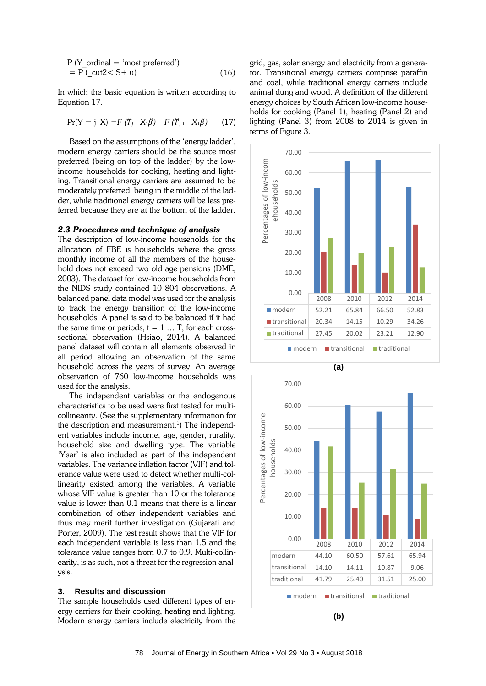$$
P (Y_{\text{1}}\text{ ordinal} = 'most preferred')= P (\text{16})(16)
$$

In which the basic equation is written according to Equation 17.

$$
Pr(Y = j | X) = F(\hat{T}_j - X_i \hat{\beta}) - F(\hat{T}_{j-1} - X_i \hat{\beta})
$$
 (17)

Based on the assumptions of the 'energy ladder', modern energy carriers should be the source most preferred (being on top of the ladder) by the lowincome households for cooking, heating and lighting. Transitional energy carriers are assumed to be moderately preferred, being in the middle of the ladder, while traditional energy carriers will be less preferred because they are at the bottom of the ladder.

#### *2.3 Procedures and technique of analysis*

The description of low-income households for the allocation of FBE is households where the gross monthly income of all the members of the household does not exceed two old age pensions (DME, 2003). The dataset for low-income households from the NIDS study contained 10 804 observations. A balanced panel data model was used for the analysis to track the energy transition of the low-income households. A panel is said to be balanced if it had the same time or periods,  $t = 1 ... T$ , for each crosssectional observation (Hsiao, 2014). A balanced panel dataset will contain all elements observed in all period allowing an observation of the same household across the years of survey. An average observation of 760 low-income households was used for the analysis.

The independent variables or the endogenous characteristics to be used were first tested for multicollinearity. (See the supplementary information for the description and measurement. 1 ) The independent variables include income, age, gender, rurality, household size and dwelling type. The variable 'Year' is also included as part of the independent variables. The variance inflation factor (VIF) and tolerance value were used to detect whether multi-collinearity existed among the variables. A variable whose VIF value is greater than 10 or the tolerance value is lower than 0.1 means that there is a linear combination of other independent variables and thus may merit further investigation (Gujarati and Porter, 2009). The test result shows that the VIF for each independent variable is less than 1.5 and the tolerance value ranges from 0.7 to 0.9. Multi-collinearity, is as such, not a threat for the regression analysis.

#### **3. Results and discussion**

The sample households used different types of energy carriers for their cooking, heating and lighting. Modern energy carriers include electricity from the grid, gas, solar energy and electricity from a generator. Transitional energy carriers comprise paraffin and coal, while traditional energy carriers include animal dung and wood. A definition of the different energy choices by South African low-income households for cooking (Panel 1), heating (Panel 2) and lighting (Panel 3) from 2008 to 2014 is given in terms of Figure 3.





**(b)**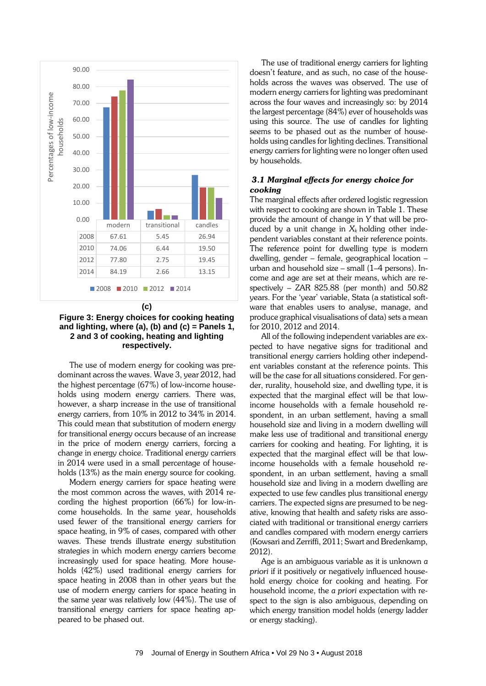

## **Figure 3: Energy choices for cooking heating and lighting, where (a), (b) and (c) = Panels 1, 2 and 3 of cooking, heating and lighting respectively.**

The use of modern energy for cooking was predominant across the waves. Wave 3, year 2012, had the highest percentage (67%) of low-income households using modern energy carriers. There was, however, a sharp increase in the use of transitional energy carriers, from 10% in 2012 to 34% in 2014. This could mean that substitution of modern energy for transitional energy occurs because of an increase in the price of modern energy carriers, forcing a change in energy choice. Traditional energy carriers in 2014 were used in a small percentage of households (13%) as the main energy source for cooking.

Modern energy carriers for space heating were the most common across the waves, with 2014 recording the highest proportion (66%) for low-income households. In the same year, households used fewer of the transitional energy carriers for space heating, in 9% of cases, compared with other waves. These trends illustrate energy substitution strategies in which modern energy carriers become increasingly used for space heating. More households (42%) used traditional energy carriers for space heating in 2008 than in other years but the use of modern energy carriers for space heating in the same year was relatively low (44%). The use of transitional energy carriers for space heating appeared to be phased out.

The use of traditional energy carriers for lighting doesn't feature, and as such, no case of the households across the waves was observed. The use of modern energy carriers for lighting was predominant across the four waves and increasingly so: by 2014 the largest percentage (84%) ever of households was using this source. The use of candles for lighting seems to be phased out as the number of households using candles for lighting declines. Transitional energy carriers for lighting were no longer often used by households.

# *3.1 Marginal effects for energy choice for cooking*

The marginal effects after ordered logistic regression with respect to cooking are shown in Table 1. These provide the amount of change in *Y* that will be produced by a unit change in  $X_k$  holding other independent variables constant at their reference points. The reference point for dwelling type is modern dwelling, gender – female, geographical location – urban and household size – small (1–4 persons). Income and age are set at their means, which are respectively – ZAR 825.88 (per month) and 50.82 years. For the 'year' variable, Stata (a statistical software that enables users to analyse, manage, and produce graphical visualisations of data) sets a mean for 2010, 2012 and 2014.

All of the following independent variables are expected to have negative signs for traditional and transitional energy carriers holding other independent variables constant at the reference points. This will be the case for all situations considered. For gender, rurality, household size, and dwelling type, it is expected that the marginal effect will be that lowincome households with a female household respondent, in an urban settlement, having a small household size and living in a modern dwelling will make less use of traditional and transitional energy carriers for cooking and heating. For lighting, it is expected that the marginal effect will be that lowincome households with a female household respondent, in an urban settlement, having a small household size and living in a modern dwelling are expected to use few candles plus transitional energy carriers. The expected signs are presumed to be negative, knowing that health and safety risks are associated with traditional or transitional energy carriers and candles compared with modern energy carriers (Kowsari and Zerriffi, 2011; Swart and Bredenkamp, 2012).

Age is an ambiguous variable as it is unknown *a priori* if it positively or negatively influenced household energy choice for cooking and heating. For household income, the *a priori* expectation with respect to the sign is also ambiguous, depending on which energy transition model holds (energy ladder or energy stacking).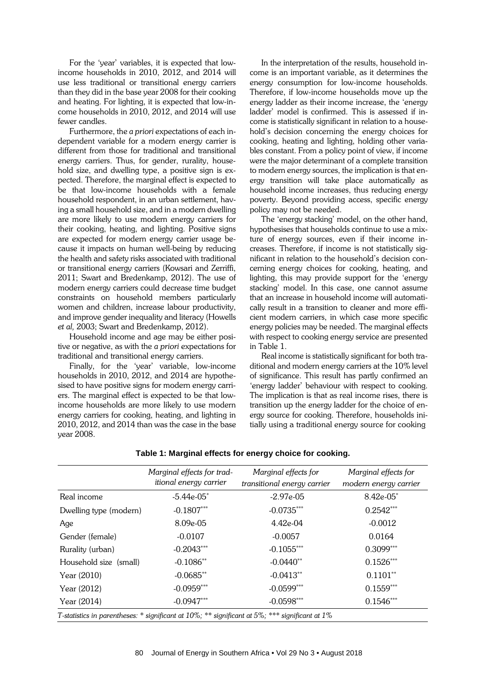For the 'year' variables, it is expected that lowincome households in 2010, 2012, and 2014 will use less traditional or transitional energy carriers than they did in the base year 2008 for their cooking and heating. For lighting, it is expected that low-income households in 2010, 2012, and 2014 will use fewer candles.

Furthermore, the *a priori* expectations of each independent variable for a modern energy carrier is different from those for traditional and transitional energy carriers. Thus, for gender, rurality, household size, and dwelling type, a positive sign is expected. Therefore, the marginal effect is expected to be that low-income households with a female household respondent, in an urban settlement, having a small household size, and in a modern dwelling are more likely to use modern energy carriers for their cooking, heating, and lighting. Positive signs are expected for modern energy carrier usage because it impacts on human well-being by reducing the health and safety risks associated with traditional or transitional energy carriers (Kowsari and Zerriffi, 2011; Swart and Bredenkamp, 2012). The use of modern energy carriers could decrease time budget constraints on household members particularly women and children, increase labour productivity, and improve gender inequality and literacy (Howells *et al,* 2003; Swart and Bredenkamp, 2012).

Household income and age may be either positive or negative, as with the *a priori* expectations for traditional and transitional energy carriers.

Finally, for the 'year' variable, low-income households in 2010, 2012, and 2014 are hypothesised to have positive signs for modern energy carriers. The marginal effect is expected to be that lowincome households are more likely to use modern energy carriers for cooking, heating, and lighting in 2010, 2012, and 2014 than was the case in the base year 2008.

In the interpretation of the results, household income is an important variable, as it determines the energy consumption for low-income households. Therefore, if low-income households move up the energy ladder as their income increase, the 'energy ladder' model is confirmed. This is assessed if income is statistically significant in relation to a household's decision concerning the energy choices for cooking, heating and lighting, holding other variables constant. From a policy point of view, if income were the major determinant of a complete transition to modern energy sources, the implication is that energy transition will take place automatically as household income increases, thus reducing energy poverty. Beyond providing access, specific energy policy may not be needed.

The 'energy stacking' model, on the other hand, hypothesises that households continue to use a mixture of energy sources, even if their income increases. Therefore, if income is not statistically significant in relation to the household's decision concerning energy choices for cooking, heating, and lighting, this may provide support for the 'energy stacking' model. In this case, one cannot assume that an increase in household income will automatically result in a transition to cleaner and more efficient modern carriers, in which case more specific energy policies may be needed. The marginal effects with respect to cooking energy service are presented in Table 1.

Real income is statistically significant for both traditional and modern energy carriers at the 10% level of significance. This result has partly confirmed an 'energy ladder' behaviour with respect to cooking. The implication is that as real income rises, there is transition up the energy ladder for the choice of energy source for cooking. Therefore, households initially using a traditional energy source for cooking

|                                                                                                | Marginal effects for trad-    | Marginal effects for        | Marginal effects for  |
|------------------------------------------------------------------------------------------------|-------------------------------|-----------------------------|-----------------------|
|                                                                                                | <i>itional energy carrier</i> | transitional energy carrier | modern energy carrier |
| Real income                                                                                    | $-5.44e-05$                   | $-2.97e-05$                 | 8.42e-05*             |
| Dwelling type (modern)                                                                         | $-0.1807***$                  | $-0.0735***$                | $0.2542***$           |
| Age                                                                                            | 8.09e-05                      | $4.42e-04$                  | $-0.0012$             |
| Gender (female)                                                                                | $-0.0107$                     | $-0.0057$                   | 0.0164                |
| Rurality (urban)                                                                               | $-0.2043***$                  | $-0.1055***$                | $0.3099***$           |
| Household size (small)                                                                         | $-0.1086**$                   | $-0.0440**$                 | $0.1526***$           |
| Year (2010)                                                                                    | $-0.0685**$                   | $-0.0413**$                 | $0.1101**$            |
| Year (2012)                                                                                    | $-0.0959***$                  | $-0.0599***$                | $0.1559***$           |
| Year (2014)                                                                                    | $-0.0947***$                  | $-0.0598***$                | $0.1546***$           |
| T-statistics in parentheses: * significant at 10%; ** significant at 5%; *** significant at 1% |                               |                             |                       |

# **Table 1: Marginal effects for energy choice for cooking.**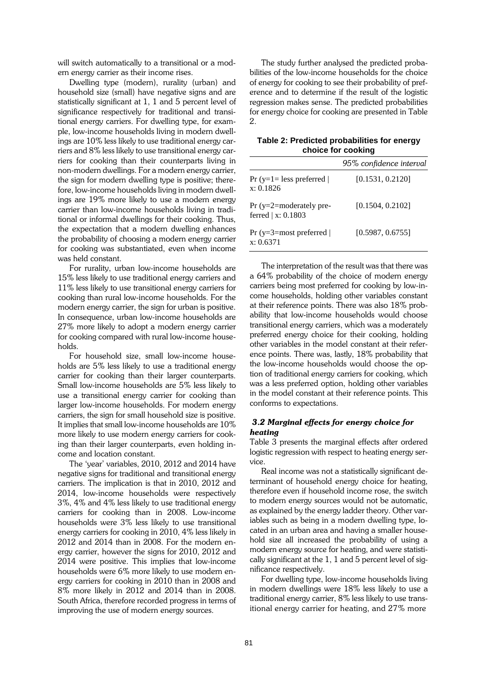will switch automatically to a transitional or a modern energy carrier as their income rises.

Dwelling type (modern), rurality (urban) and household size (small) have negative signs and are statistically significant at 1, 1 and 5 percent level of significance respectively for traditional and transitional energy carriers. For dwelling type, for example, low-income households living in modern dwellings are 10% less likely to use traditional energy carriers and 8% less likely to use transitional energy carriers for cooking than their counterparts living in non-modern dwellings. For a modern energy carrier, the sign for modern dwelling type is positive; therefore, low-income households living in modern dwellings are 19% more likely to use a modern energy carrier than low-income households living in traditional or informal dwellings for their cooking. Thus, the expectation that a modern dwelling enhances the probability of choosing a modern energy carrier for cooking was substantiated, even when income was held constant.

For rurality, urban low-income households are 15% less likely to use traditional energy carriers and 11% less likely to use transitional energy carriers for cooking than rural low-income households. For the modern energy carrier, the sign for urban is positive. In consequence, urban low-income households are 27% more likely to adopt a modern energy carrier for cooking compared with rural low-income households.

For household size, small low-income households are 5% less likely to use a traditional energy carrier for cooking than their larger counterparts. Small low-income households are 5% less likely to use a transitional energy carrier for cooking than larger low-income households. For modern energy carriers, the sign for small household size is positive. It implies that small low-income households are 10% more likely to use modern energy carriers for cooking than their larger counterparts, even holding income and location constant.

The 'year' variables, 2010, 2012 and 2014 have negative signs for traditional and transitional energy carriers. The implication is that in 2010, 2012 and 2014, low-income households were respectively 3%, 4% and 4% less likely to use traditional energy carriers for cooking than in 2008. Low-income households were 3% less likely to use transitional energy carriers for cooking in 2010, 4% less likely in 2012 and 2014 than in 2008. For the modern energy carrier, however the signs for 2010, 2012 and 2014 were positive. This implies that low-income households were 6% more likely to use modern energy carriers for cooking in 2010 than in 2008 and 8% more likely in 2012 and 2014 than in 2008. South Africa, therefore recorded progress in terms of improving the use of modern energy sources.

The study further analysed the predicted probabilities of the low-income households for the choice of energy for cooking to see their probability of preference and to determine if the result of the logistic regression makes sense. The predicted probabilities for energy choice for cooking are presented in Table 2.

**Table 2: Predicted probabilities for energy choice for cooking**

|                                                | 95% confidence interval |
|------------------------------------------------|-------------------------|
| $Pr(y=1=less preferred)$<br>x: 0.1826          | [0.1531, 0.2120]        |
| $Pr(y=2=moderately pre-$<br>ferred   x: 0.1803 | [0.1504, 0.2102]        |
| $Pr(y=3=most preferred)$<br>x: 0.6371          | [0.5987, 0.6755]        |

The interpretation of the result was that there was a 64% probability of the choice of modern energy carriers being most preferred for cooking by low-income households, holding other variables constant at their reference points. There was also 18% probability that low-income households would choose transitional energy carriers, which was a moderately preferred energy choice for their cooking, holding other variables in the model constant at their reference points. There was, lastly, 18% probability that the low-income households would choose the option of traditional energy carriers for cooking, which was a less preferred option, holding other variables in the model constant at their reference points. This conforms to expectations.

#### *3.2 Marginal effects for energy choice for heating*

Table 3 presents the marginal effects after ordered logistic regression with respect to heating energy service.

Real income was not a statistically significant determinant of household energy choice for heating, therefore even if household income rose, the switch to modern energy sources would not be automatic, as explained by the energy ladder theory. Other variables such as being in a modern dwelling type, located in an urban area and having a smaller household size all increased the probability of using a modern energy source for heating, and were statistically significant at the 1, 1 and 5 percent level of significance respectively.

For dwelling type, low-income households living in modern dwellings were 18% less likely to use a traditional energy carrier, 8% less likely to use transitional energy carrier for heating, and 27% more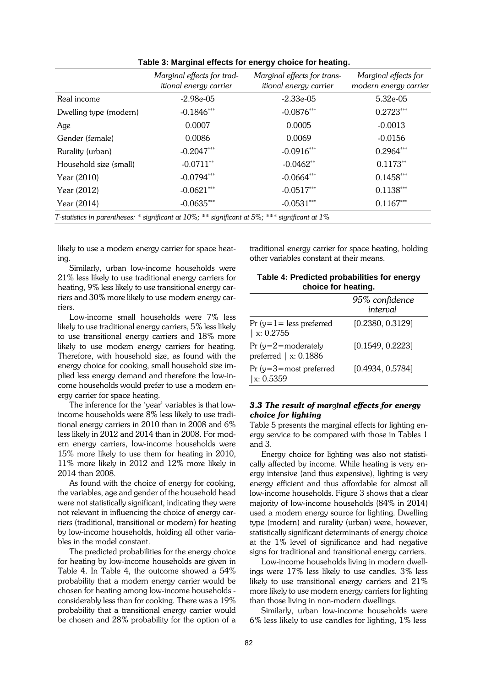|                                                                                                | Marginal effects for trad-<br>itional energy carrier | Marginal effects for trans-<br>itional energy carrier | Marginal effects for<br>modern energy carrier |
|------------------------------------------------------------------------------------------------|------------------------------------------------------|-------------------------------------------------------|-----------------------------------------------|
| Real income                                                                                    | $-2.98e-05$                                          | $-2.33e-0.5$                                          | 5.32e-05                                      |
| Dwelling type (modern)                                                                         | $-0.1846***$                                         | $-0.0876***$                                          | $0.2723***$                                   |
| Age                                                                                            | 0.0007                                               | 0.0005                                                | $-0.0013$                                     |
| Gender (female)                                                                                | 0.0086                                               | 0.0069                                                | $-0.0156$                                     |
| Rurality (urban)                                                                               | $-0.2047***$                                         | $-0.0916***$                                          | $0.2964***$                                   |
| Household size (small)                                                                         | $-0.0711$ <sup>**</sup>                              | $-0.0462**$                                           | $0.1173**$                                    |
| Year (2010)                                                                                    | $-0.0794***$                                         | $-0.0664***$                                          | $0.1458***$                                   |
| Year (2012)                                                                                    | $-0.0621***$                                         | $-0.0517***$                                          | $0.1138***$                                   |
| Year (2014)                                                                                    | $-0.0635***$                                         | $-0.0531***$                                          | $0.1167***$                                   |
| T-statistics in parentheses: * significant at 10%; ** significant at 5%; *** significant at 1% |                                                      |                                                       |                                               |

**Table 3: Marginal effects for energy choice for heating.**

likely to use a modern energy carrier for space heating.

Similarly, urban low-income households were 21% less likely to use traditional energy carriers for heating, 9% less likely to use transitional energy carriers and 30% more likely to use modern energy carriers.

Low-income small households were 7% less likely to use traditional energy carriers, 5% less likely to use transitional energy carriers and 18% more likely to use modern energy carriers for heating. Therefore, with household size, as found with the energy choice for cooking, small household size implied less energy demand and therefore the low-income households would prefer to use a modern energy carrier for space heating.

The inference for the 'year' variables is that lowincome households were 8% less likely to use traditional energy carriers in 2010 than in 2008 and 6% less likely in 2012 and 2014 than in 2008. For modern energy carriers, low-income households were 15% more likely to use them for heating in 2010, 11% more likely in 2012 and 12% more likely in 2014 than 2008.

As found with the choice of energy for cooking, the variables, age and gender of the household head were not statistically significant, indicating they were not relevant in influencing the choice of energy carriers (traditional, transitional or modern) for heating by low-income households, holding all other variables in the model constant.

The predicted probabilities for the energy choice for heating by low-income households are given in Table 4. In Table 4, the outcome showed a 54% probability that a modern energy carrier would be chosen for heating among low-income households considerably less than for cooking. There was a 19% probability that a transitional energy carrier would be chosen and 28% probability for the option of a

traditional energy carrier for space heating, holding other variables constant at their means.

| Table 4: Predicted probabilities for energy |  |
|---------------------------------------------|--|
| choice for heating.                         |  |

|                                                         | 95% confidence<br>interval |
|---------------------------------------------------------|----------------------------|
| Pr (y= $1$ = less preferred<br>$\vert x: 0.2755$        | [0.2380, 0.3129]           |
| Pr (y=2=moderately<br>preferred $\vert x: 0.1886 \vert$ | [0.1549, 0.2223]           |
| Pr (y=3=most preferred<br>$\vert x: 0.5359$             | [0.4934, 0.5784]           |

# *3.3 The result of mar*g*inal effects for energy choice for lighting*

Table 5 presents the marginal effects for lighting energy service to be compared with those in Tables 1 and 3.

Energy choice for lighting was also not statistically affected by income. While heating is very energy intensive (and thus expensive), lighting is very energy efficient and thus affordable for almost all low-income households. Figure 3 shows that a clear majority of low-income households (84% in 2014) used a modern energy source for lighting. Dwelling type (modern) and rurality (urban) were, however, statistically significant determinants of energy choice at the 1% level of significance and had negative signs for traditional and transitional energy carriers.

Low-income households living in modern dwellings were 17% less likely to use candles, 3% less likely to use transitional energy carriers and 21% more likely to use modern energy carriers for lighting than those living in non-modern dwellings.

Similarly, urban low-income households were 6% less likely to use candles for lighting, 1% less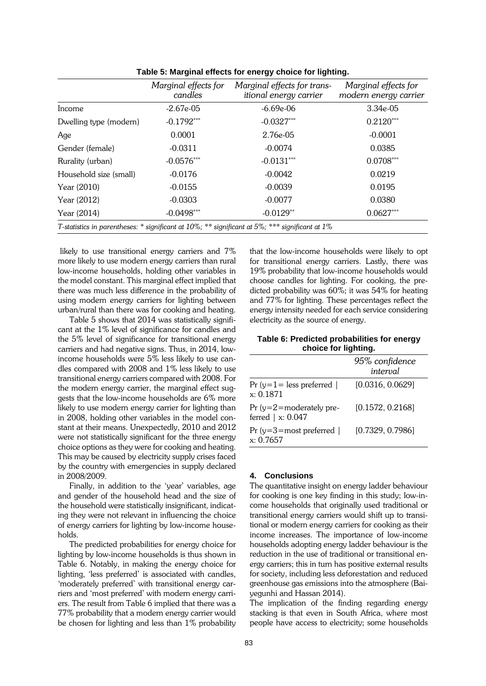|                                                                                                | Marginal effects for<br>candles | Marginal effects for trans-<br>itional energy carrier | Marginal effects for<br>modern energy carrier |
|------------------------------------------------------------------------------------------------|---------------------------------|-------------------------------------------------------|-----------------------------------------------|
| Income                                                                                         | $-2.67e-05$                     | $-6.69e-06$                                           | $3.34e-05$                                    |
| Dwelling type (modern)                                                                         | $-0.1792***$                    | $-0.0327***$                                          | $0.2120***$                                   |
| Age                                                                                            | 0.0001                          | 2.76e-05                                              | $-0.0001$                                     |
| Gender (female)                                                                                | $-0.0311$                       | $-0.0074$                                             | 0.0385                                        |
| Rurality (urban)                                                                               | $-0.0576***$                    | $-0.0131***$                                          | $0.0708***$                                   |
| Household size (small)                                                                         | $-0.0176$                       | $-0.0042$                                             | 0.0219                                        |
| Year (2010)                                                                                    | $-0.0155$                       | $-0.0039$                                             | 0.0195                                        |
| Year (2012)                                                                                    | $-0.0303$                       | $-0.0077$                                             | 0.0380                                        |
| Year (2014)                                                                                    | $-0.0498***$                    | $-0.0129**$                                           | $0.0627***$                                   |
| T-statistics in parentheses: * significant at 10%; ** significant at 5%; *** significant at 1% |                                 |                                                       |                                               |

**Table 5: Marginal effects for energy choice for lighting.**

likely to use transitional energy carriers and 7% more likely to use modern energy carriers than rural low-income households, holding other variables in the model constant. This marginal effect implied that there was much less difference in the probability of using modern energy carriers for lighting between urban/rural than there was for cooking and heating.

Table 5 shows that 2014 was statistically significant at the 1% level of significance for candles and the 5% level of significance for transitional energy carriers and had negative signs. Thus, in 2014, lowincome households were 5% less likely to use candles compared with 2008 and 1% less likely to use transitional energy carriers compared with 2008. For the modern energy carrier, the marginal effect suggests that the low-income households are 6% more likely to use modern energy carrier for lighting than in 2008, holding other variables in the model constant at their means. Unexpectedly, 2010 and 2012 were not statistically significant for the three energy choice options as they were for cooking and heating. This may be caused by electricity supply crises faced by the country with emergencies in supply declared in 2008/2009.

Finally, in addition to the 'year' variables, age and gender of the household head and the size of the household were statistically insignificant, indicating they were not relevant in influencing the choice of energy carriers for lighting by low-income households.

The predicted probabilities for energy choice for lighting by low-income households is thus shown in Table 6. Notably, in making the energy choice for lighting, 'less preferred' is associated with candles, 'moderately preferred' with transitional energy carriers and 'most preferred' with modern energy carriers. The result from Table 6 implied that there was a 77% probability that a modern energy carrier would be chosen for lighting and less than 1% probability

that the low-income households were likely to opt for transitional energy carriers. Lastly, there was 19% probability that low-income households would choose candles for lighting. For cooking, the predicted probability was 60%; it was 54% for heating and 77% for lighting. These percentages reflect the energy intensity needed for each service considering electricity as the source of energy.

**Table 6: Predicted probabilities for energy choice for lighting.**

|                                                     | 95% confidence<br>interval |
|-----------------------------------------------------|----------------------------|
| Pr $(y=1)$ = less preferred  <br>x: 0.1871          | [0.0316, 0.0629]           |
| $Pr(y=2=moderately pre-$<br>ferred $\vert x: 0.047$ | [0.1572, 0.2168]           |
| Pr $(y=3=most)$ preferred  <br>x: 0.7657            | [0.7329, 0.7986]           |

#### **4. Conclusions**

The quantitative insight on energy ladder behaviour for cooking is one key finding in this study; low-income households that originally used traditional or transitional energy carriers would shift up to transitional or modern energy carriers for cooking as their income increases. The importance of low-income households adopting energy ladder behaviour is the reduction in the use of traditional or transitional energy carriers; this in turn has positive external results for society, including less deforestation and reduced greenhouse gas emissions into the atmosphere (Baiyegunhi and Hassan 2014).

The implication of the finding regarding energy stacking is that even in South Africa, where most people have access to electricity; some households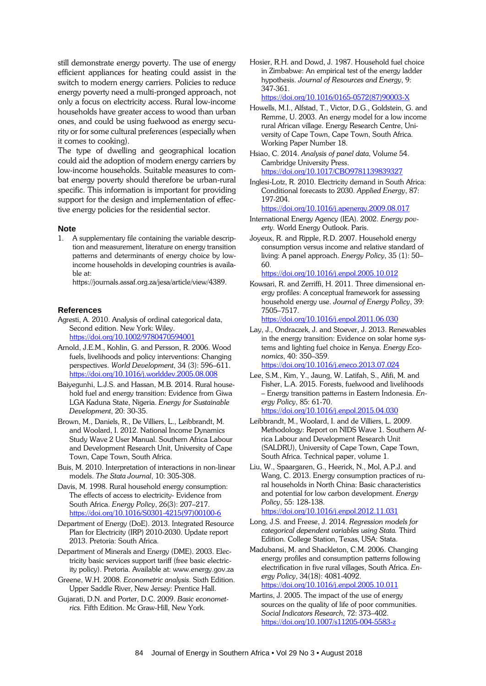still demonstrate energy poverty. The use of energy efficient appliances for heating could assist in the switch to modern energy carriers. Policies to reduce energy poverty need a multi-pronged approach, not only a focus on electricity access. Rural low-income households have greater access to wood than urban ones, and could be using fuelwood as energy security or for some cultural preferences (especially when it comes to cooking).

The type of dwelling and geographical location could aid the adoption of modern energy carriers by low-income households. Suitable measures to combat energy poverty should therefore be urban-rural specific. This information is important for providing support for the design and implementation of effective energy policies for the residential sector.

# **Note**<br>1. **A**

A supplementary file containing the variable description and measurement, literature on energy transition patterns and determinants of energy choice by lowincome households in developing countries is available at:

https://journals.assaf.org.za/jesa/article/view/4389.

#### **References**

- Agresti, A. 2010. Analysis of ordinal categorical data, Second edition. New York: Wiley. <https://doi.org/10.1002/9780470594001>
- Arnold, J.E.M., Kohlin, G. and Persson, R. 2006. Wood fuels, livelihoods and policy interventions: Changing perspectives. *World Development*, 34 (3): 596–611. <https://doi.org/10.1016/j.worlddev.2005.08.008>
- Baiyegunhi, L.J.S. and Hassan, M.B. 2014. Rural household fuel and energy transition: Evidence from Giwa LGA Kaduna State, Nigeria. *Energy for Sustainable Development*, 20: 30-35.
- Brown, M., Daniels, R., De Villiers, L., Leibbrandt, M. and Woolard, I. 2012. National Income Dynamics Study Wave 2 User Manual. Southern Africa Labour and Development Research Unit, University of Cape Town, Cape Town, South Africa.
- Buis, M. 2010. Interpretation of interactions in non-linear models. *The Stata Journal*, 10: 305-308.
- Davis, M. 1998. Rural household energy consumption: The effects of access to electricity- Evidence from South Africa. *Energy Policy*, 26(3): 207–217. [https://doi.org/10.1016/S0301-4215\(97\)00100-6](https://doi.org/10.1016/S0301-4215(97)00100-6)
- Department of Energy (DoE). 2013. Integrated Resource Plan for Electricity (IRP) 2010-2030. Update report 2013. Pretoria: South Africa.
- Department of Minerals and Energy (DME). 2003. Electricity basic services support tariff (free basic electricity policy). Pretoria. Available at: www.energy.gov.za
- Greene, W.H. 2008. *Econometric analysis*. Sixth Edition. Upper Saddle River, New Jersey: Prentice Hall.
- Gujarati, D.N. and Porter, D.C. 2009. *Basic econometrics.* Fifth Edition. Mc Graw-Hill, New York.

Hosier, R.H. and Dowd, J. 1987. Household fuel choice in Zimbabwe: An empirical test of the energy ladder hypothesis. *Journal of Resources and Energy*, 9: 347-361.

[https://doi.org/10.1016/0165-0572\(87\)90003-X](https://doi.org/10.1016/0165-0572(87)90003-X)

Howells, M.I., Alfstad, T., Victor, D.G., Goldstein, G. and Remme, U. 2003. An energy model for a low income rural African village. Energy Research Centre, University of Cape Town, Cape Town, South Africa. Working Paper Number 18.

Hsiao, C. 2014. *Analysis of panel data*, Volume 54. Cambridge University Press. <https://doi.org/10.1017/CBO9781139839327>

Inglesi-Lotz, R. 2010. Electricity demand in South Africa: Conditional forecasts to 2030. *Applied Energy*, 87: 197-204.

<https://doi.org/10.1016/j.apenergy.2009.08.017>

- International Energy Agency (IEA). 2002. *Energy poverty.* World Energy Outlook. Paris.
- Joyeux, R. and Ripple, R.D. 2007. Household energy consumption versus income and relative standard of living: A panel approach. *Energy Policy*, 35 (1): 50– 60.

<https://doi.org/10.1016/j.enpol.2005.10.012>

Kowsari, R. and Zerriffi, H. 2011. Three dimensional energy profiles: A conceptual framework for assessing household energy use. *Journal of Energy Policy*, 39: 7505–7517.

<https://doi.org/10.1016/j.enpol.2011.06.030>

- Lay, J., Ondraczek, J. and Stoever, J. 2013. Renewables in the energy transition: Evidence on solar home systems and lighting fuel choice in Kenya. *Energy Economics*, 40: 350–359. <https://doi.org/10.1016/j.eneco.2013.07.024>
- Lee, S.M., Kim, Y., Jaung, W. Latifah, S., Afifi, M. and Fisher, L.A. 2015. Forests, fuelwood and livelihoods – Energy transition patterns in Eastern Indonesia. *Energy Policy*, 85: 61-70. <https://doi.org/10.1016/j.enpol.2015.04.030>
- Leibbrandt, M., Woolard, I. and de Villiers, L. 2009. Methodology: Report on NIDS Wave 1. Southern Africa Labour and Development Research Unit (SALDRU), University of Cape Town, Cape Town, South Africa. Technical paper, volume 1.
- Liu, W., Spaargaren, G., Heerick, N., Mol, A.P.J. and Wang, C. 2013. Energy consumption practices of rural households in North China: Basic characteristics and potential for low carbon development. *Energy Policy*, 55: 128-138. <https://doi.org/10.1016/j.enpol.2012.11.031>
- Long, J.S. and Freese, J. 2014. *Regression models for categorical dependent variables using Stata.* Third Edition. College Station, Texas, USA: Stata.
- Madubansi, M. and Shackleton, C.M. 2006. Changing energy profiles and consumption patterns following electrification in five rural villages, South Africa. *Energy Policy*, 34(18): 4081-4092. <https://doi.org/10.1016/j.enpol.2005.10.011>
- Martins, J. 2005. The impact of the use of energy sources on the quality of life of poor communities. *Social Indicators Research*, 72: 373–402. <https://doi.org/10.1007/s11205-004-5583-z>